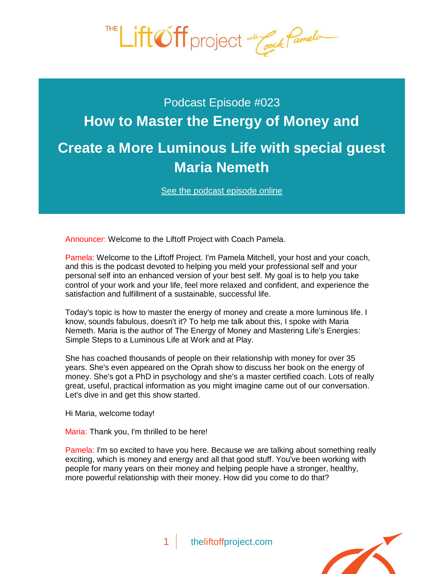

## Podcast Episode #023 **How to Master the Energy of Money and [Create a More Luminous Life with special guest](http://theliftoffproject.com/master-the-energy-of-money/)  Maria Nemeth**

*See the podcast episode online*

Announcer: Welcome to the Liftoff Project with Coach Pamela.

Pamela: Welcome to the Liftoff Project. I'm Pamela Mitchell, your host and your coach, and this is the podcast devoted to helping you meld your professional self and your personal self into an enhanced version of your best self. My goal is to help you take control of your work and your life, feel more relaxed and confident, and experience the satisfaction and fulfillment of a sustainable, successful life.

Today's topic is how to master the energy of money and create a more luminous life. I know, sounds fabulous, doesn't it? To help me talk about this, I spoke with Maria Nemeth. Maria is the author of *The Energy of Money* and *Mastering Life's Energies*: *Simple Steps to a Luminous Life at Work and at Play.*

She has coached thousands of people on their relationship with money for over 35 years. She's even appeared on the Oprah show to discuss her book on the energy of money. She's got a PhD in psychology and she's a master certified coach. Lots of really great, useful, practical information as you might imagine came out of our conversation. Let's dive in and get this show started.

Hi Maria, welcome today!

Maria: Thank you, I'm thrilled to be here!

Pamela: I'm so excited to have you here. Because we are talking about something really exciting, which is money and energy and all that good stuff. You've been working with people for many years on their money and helping people have a stronger, healthy, more powerful relationship with their money. How did you come to do that?

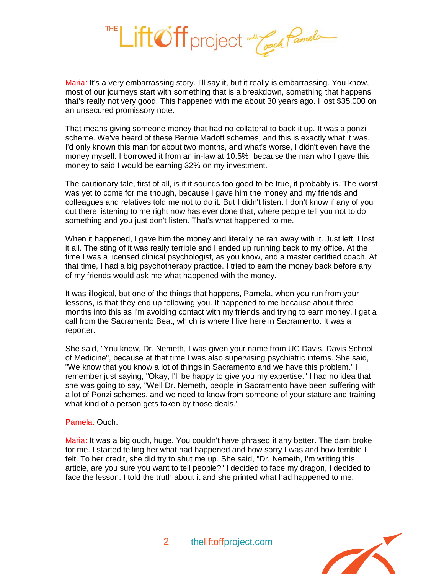

Maria: It's a very embarrassing story. I'll say it, but it really is embarrassing. You know, most of our journeys start with something that is a breakdown, something that happens that's really not very good. This happened with me about 30 years ago. I lost \$35,000 on an unsecured promissory note.

That means giving someone money that had no collateral to back it up. It was a ponzi scheme. We've heard of these Bernie Madoff schemes, and this is exactly what it was. I'd only known this man for about two months, and what's worse, I didn't even have the money myself. I borrowed it from an in-law at 10.5%, because the man who I gave this money to said I would be earning 32% on my investment.

The cautionary tale, first of all, is if it sounds too good to be true, it probably is. The worst was yet to come for me though, because I gave him the money and my friends and colleagues and relatives told me not to do it. But I didn't listen. I don't know if any of you out there listening to me right now has ever done that, where people tell you not to do something and you just don't listen. That's what happened to me.

When it happened, I gave him the money and literally he ran away with it. Just left. I lost it all. The sting of it was really terrible and I ended up running back to my office. At the time I was a licensed clinical psychologist, as you know, and a master certified coach. At that time, I had a big psychotherapy practice. I tried to earn the money back before any of my friends would ask me what happened with the money.

It was illogical, but one of the things that happens, Pamela, when you run from your lessons, is that they end up following you. It happened to me because about three months into this as I'm avoiding contact with my friends and trying to earn money, I get a call from the Sacramento Beat, which is where I live here in Sacramento. It was a reporter.

She said, "You know, Dr. Nemeth, I was given your name from UC Davis, Davis School of Medicine", because at that time I was also supervising psychiatric interns. She said, "We know that you know a lot of things in Sacramento and we have this problem." I remember just saying, "Okay, I'll be happy to give you my expertise." I had no idea that she was going to say, "Well Dr. Nemeth, people in Sacramento have been suffering with a lot of Ponzi schemes, and we need to know from someone of your stature and training what kind of a person gets taken by those deals."

## Pamela: Ouch.

Maria: It was a big ouch, huge. You couldn't have phrased it any better. The dam broke for me. I started telling her what had happened and how sorry I was and how terrible I felt. To her credit, she did try to shut me up. She said, "Dr. Nemeth, I'm writing this article, are you sure you want to tell people?" I decided to face my dragon, I decided to face the lesson. I told the truth about it and she printed what had happened to me.

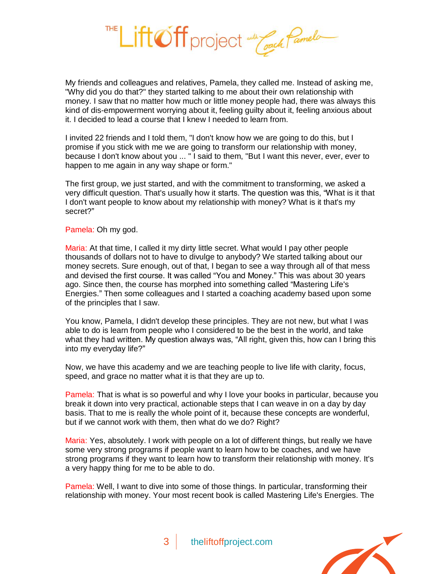

My friends and colleagues and relatives, Pamela, they called me. Instead of asking me, "Why did you do that?" they started talking to me about their own relationship with money. I saw that no matter how much or little money people had, there was always this kind of dis-empowerment worrying about it, feeling guilty about it, feeling anxious about it. I decided to lead a course that I knew I needed to learn from.

I invited 22 friends and I told them, "I don't know how we are going to do this, but I promise if you stick with me we are going to transform our relationship with money, because I don't know about you ... " I said to them, "But I want this never, ever, ever to happen to me again in any way shape or form."

The first group, we just started, and with the commitment to transforming, we asked a very difficult question. That's usually how it starts. The question was this, "What is it that I don't want people to know about my relationship with money? What is it that's my secret?"

Pamela: Oh my god.

Maria: At that time, I called it my dirty little secret. What would I pay other people thousands of dollars not to have to divulge to anybody? We started talking about our money secrets. Sure enough, out of that, I began to see a way through all of that mess and devised the first course. It was called "You and Money." This was about 30 years ago. Since then, the course has morphed into something called "Mastering Life's Energies." Then some colleagues and I started a coaching academy based upon some of the principles that I saw.

You know, Pamela, I didn't develop these principles. They are not new, but what I was able to do is learn from people who I considered to be the best in the world, and take what they had written. My question always was, "All right, given this, how can I bring this into my everyday life?"

Now, we have this academy and we are teaching people to live life with clarity, focus, speed, and grace no matter what it is that they are up to.

Pamela: That is what is so powerful and why I love your books in particular, because you break it down into very practical, actionable steps that I can weave in on a day by day basis. That to me is really the whole point of it, because these concepts are wonderful, but if we cannot work with them, then what do we do? Right?

Maria: Yes, absolutely. I work with people on a lot of different things, but really we have some very strong programs if people want to learn how to be coaches, and we have strong programs if they want to learn how to transform their relationship with money. It's a very happy thing for me to be able to do.

Pamela: Well, I want to dive into some of those things. In particular, transforming their relationship with money. Your most recent book is called *Mastering Life's Energies*. The

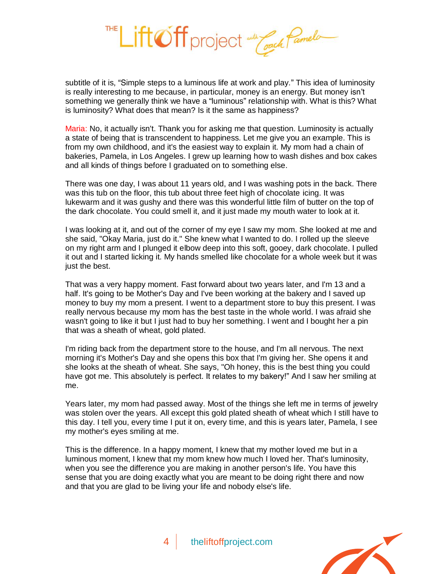

subtitle of it is, "Simple steps to a luminous life at work and play." This idea of luminosity is really interesting to me because, in particular, money is an energy. But money isn't something we generally think we have a "luminous" relationship with. What is this? What is luminosity? What does that mean? Is it the same as happiness?

Maria: No, it actually isn't. Thank you for asking me that question. Luminosity is actually a state of being that is transcendent to happiness. Let me give you an example. This is from my own childhood, and it's the easiest way to explain it. My mom had a chain of bakeries, Pamela, in Los Angeles. I grew up learning how to wash dishes and box cakes and all kinds of things before I graduated on to something else.

There was one day, I was about 11 years old, and I was washing pots in the back. There was this tub on the floor, this tub about three feet high of chocolate icing. It was lukewarm and it was gushy and there was this wonderful little film of butter on the top of the dark chocolate. You could smell it, and it just made my mouth water to look at it.

I was looking at it, and out of the corner of my eye I saw my mom. She looked at me and she said, "Okay Maria, just do it." She knew what I wanted to do. I rolled up the sleeve on my right arm and I plunged it elbow deep into this soft, gooey, dark chocolate. I pulled it out and I started licking it. My hands smelled like chocolate for a whole week but it was just the best.

That was a very happy moment. Fast forward about two years later, and I'm 13 and a half. It's going to be Mother's Day and I've been working at the bakery and I saved up money to buy my mom a present. I went to a department store to buy this present. I was really nervous because my mom has the best taste in the whole world. I was afraid she wasn't going to like it but I just had to buy her something. I went and I bought her a pin that was a sheath of wheat, gold plated.

I'm riding back from the department store to the house, and I'm all nervous. The next morning it's Mother's Day and she opens this box that I'm giving her. She opens it and she looks at the sheath of wheat. She says, "Oh honey, this is the best thing you could have got me. This absolutely is perfect. It relates to my bakery!" And I saw her smiling at me.

Years later, my mom had passed away. Most of the things she left me in terms of jewelry was stolen over the years. All except this gold plated sheath of wheat which I still have to this day. I tell you, every time I put it on, every time, and this is years later, Pamela, I see my mother's eyes smiling at me.

This is the difference. In a happy moment, I knew that my mother loved me but in a luminous moment, I knew that my mom knew how much I loved her. That's luminosity, when you see the difference you are making in another person's life. You have this sense that you are doing exactly what you are meant to be doing right there and now and that you are glad to be living your life and nobody else's life.

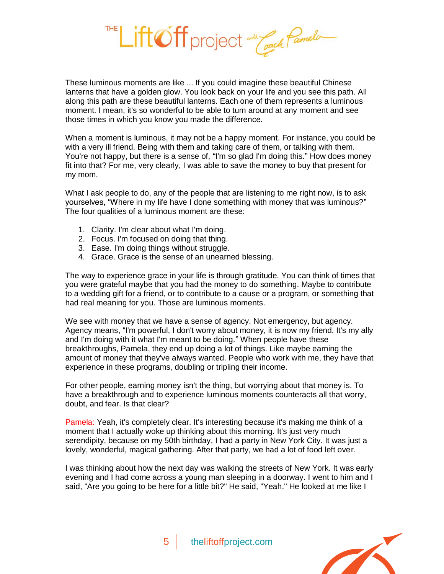These luminous moments are like ... If you could imagine these beautiful Chinese lanterns that have a golden glow. You look back on your life and you see this path. All along this path are these beautiful lanterns. Each one of them represents a luminous moment. I mean, it's so wonderful to be able to turn around at any moment and see those times in which you know you made the difference.

Lift Off project and Coach Pamelo

When a moment is luminous, it may not be a happy moment. For instance, you could be with a very ill friend. Being with them and taking care of them, or talking with them. You're not happy, but there is a sense of, "I'm so glad I'm doing this." How does money fit into that? For me, very clearly, I was able to save the money to buy that present for my mom.

What I ask people to do, any of the people that are listening to me right now, is to ask yourselves, "Where in my life have I done something with money that was luminous?" The four qualities of a luminous moment are these:

- 1. Clarity. I'm clear about what I'm doing.
- 2. Focus. I'm focused on doing that thing.
- 3. Ease. I'm doing things without struggle.
- 4. Grace. Grace is the sense of an unearned blessing.

The way to experience grace in your life is through gratitude. You can think of times that you were grateful maybe that you had the money to do something. Maybe to contribute to a wedding gift for a friend, or to contribute to a cause or a program, or something that had real meaning for you. Those are luminous moments.

We see with money that we have a sense of agency. Not emergency, but agency. Agency means, "I'm powerful, I don't worry about money, it is now my friend. It's my ally and I'm doing with it what I'm meant to be doing." When people have these breakthroughs, Pamela, they end up doing a lot of things. Like maybe earning the amount of money that they've always wanted. People who work with me, they have that experience in these programs, doubling or tripling their income.

For other people, earning money isn't the thing, but worrying about that money is. To have a breakthrough and to experience luminous moments counteracts all that worry, doubt, and fear. Is that clear?

Pamela: Yeah, it's completely clear. It's interesting because it's making me think of a moment that I actually woke up thinking about this morning. It's just very much serendipity, because on my 50th birthday, I had a party in New York City. It was just a lovely, wonderful, magical gathering. After that party, we had a lot of food left over.

I was thinking about how the next day was walking the streets of New York. It was early evening and I had come across a young man sleeping in a doorway. I went to him and I said, "Are you going to be here for a little bit?" He said, "Yeah." He looked at me like I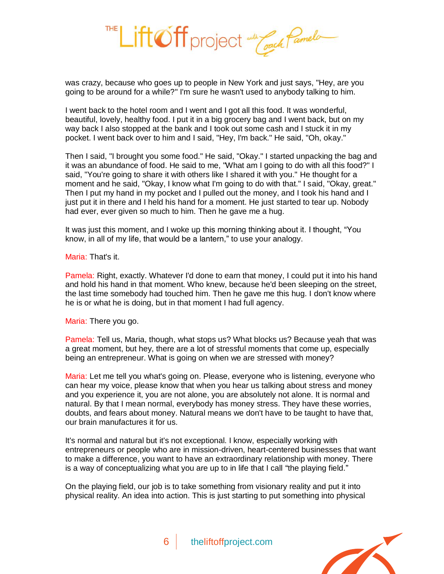

was crazy, because who goes up to people in New York and just says, "Hey, are you going to be around for a while?" I'm sure he wasn't used to anybody talking to him.

I went back to the hotel room and I went and I got all this food. It was wonderful, beautiful, lovely, healthy food. I put it in a big grocery bag and I went back, but on my way back I also stopped at the bank and I took out some cash and I stuck it in my pocket. I went back over to him and I said, "Hey, I'm back." He said, "Oh, okay."

Then I said, "I brought you some food." He said, "Okay." I started unpacking the bag and it was an abundance of food. He said to me, "What am I going to do with all this food?" I said, "You're going to share it with others like I shared it with you." He thought for a moment and he said, "Okay, I know what I'm going to do with that." I said, "Okay, great." Then I put my hand in my pocket and I pulled out the money, and I took his hand and I just put it in there and I held his hand for a moment. He just started to tear up. Nobody had ever, ever given so much to him. Then he gave me a hug.

It was just this moment, and I woke up this morning thinking about it. I thought, "You know, in all of my life, that would be a lantern," to use your analogy.

Maria: That's it.

Pamela: Right, exactly. Whatever I'd done to earn that money, I could put it into his hand and hold his hand in that moment. Who knew, because he'd been sleeping on the street, the last time somebody had touched him. Then he gave me this hug. I don't know where he is or what he is doing, but in that moment I had full agency.

Maria: There you go.

Pamela: Tell us, Maria, though, what stops us? What blocks us? Because yeah that was a great moment, but hey, there are a lot of stressful moments that come up, especially being an entrepreneur. What is going on when we are stressed with money?

Maria: Let me tell you what's going on. Please, everyone who is listening, everyone who can hear my voice, please know that when you hear us talking about stress and money and you experience it, you are not alone, you are absolutely not alone. It is normal and natural. By that I mean normal, everybody has money stress. They have these worries, doubts, and fears about money. Natural means we don't have to be taught to have that, our brain manufactures it for us.

It's normal and natural but it's not exceptional. I know, especially working with entrepreneurs or people who are in mission-driven, heart-centered businesses that want to make a difference, you want to have an extraordinary relationship with money. There is a way of conceptualizing what you are up to in life that I call "the playing field."

On the playing field, our job is to take something from visionary reality and put it into physical reality. An idea into action. This is just starting to put something into physical

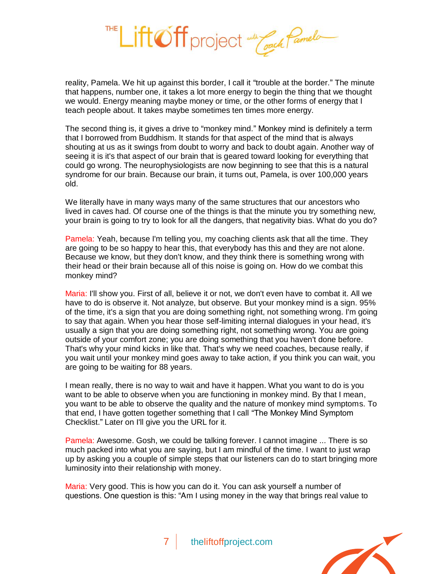

reality, Pamela. We hit up against this border, I call it "trouble at the border." The minute that happens, number one, it takes a lot more energy to begin the thing that we thought we would. Energy meaning maybe money or time, or the other forms of energy that I teach people about. It takes maybe sometimes ten times more energy.

The second thing is, it gives a drive to "monkey mind." Monkey mind is definitely a term that I borrowed from Buddhism. It stands for that aspect of the mind that is always shouting at us as it swings from doubt to worry and back to doubt again. Another way of seeing it is it's that aspect of our brain that is geared toward looking for everything that could go wrong. The neurophysiologists are now beginning to see that this is a natural syndrome for our brain. Because our brain, it turns out, Pamela, is over 100,000 years old.

We literally have in many ways many of the same structures that our ancestors who lived in caves had. Of course one of the things is that the minute you try something new, your brain is going to try to look for all the dangers, that negativity bias. What do you do?

Pamela: Yeah, because I'm telling you, my coaching clients ask that all the time. They are going to be so happy to hear this, that everybody has this and they are not alone. Because we know, but they don't know, and they think there is something wrong with their head or their brain because all of this noise is going on. How do we combat this monkey mind?

Maria: I'll show you. First of all, believe it or not, we don't even have to combat it. All we have to do is observe it. Not analyze, but observe. But your monkey mind is a sign. 95% of the time, it's a sign that you are doing something right, not something wrong. I'm going to say that again. When you hear those self-limiting internal dialogues in your head, it's usually a sign that you are doing something right, not something wrong. You are going outside of your comfort zone; you are doing something that you haven't done before. That's why your mind kicks in like that. That's why we need coaches, because really, if you wait until your monkey mind goes away to take action, if you think you can wait, you are going to be waiting for 88 years.

I mean really, there is no way to wait and have it happen. What you want to do is you want to be able to observe when you are functioning in monkey mind. By that I mean, you want to be able to observe the quality and the nature of monkey mind symptoms. To that end, I have gotten together something that I call "The Monkey Mind Symptom Checklist." Later on I'll give you the URL for it.

Pamela: Awesome. Gosh, we could be talking forever. I cannot imagine ... There is so much packed into what you are saying, but I am mindful of the time. I want to just wrap up by asking you a couple of simple steps that our listeners can do to start bringing more luminosity into their relationship with money.

Maria: Very good. This is how you can do it. You can ask yourself a number of questions. One question is this: "Am I using money in the way that brings real value to

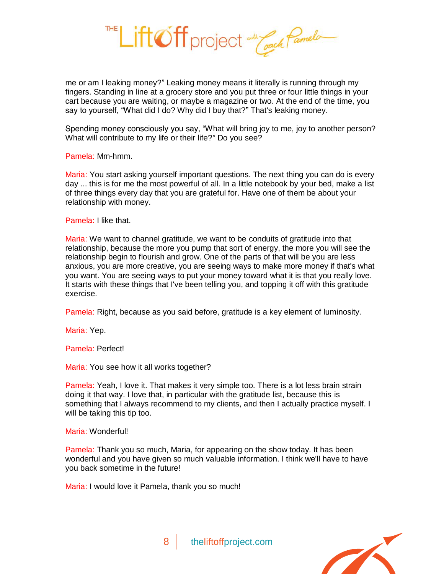Lift Off project and Coach Pamelo

me or am I leaking money?" Leaking money means it literally is running through my fingers. Standing in line at a grocery store and you put three or four little things in your cart because you are waiting, or maybe a magazine or two. At the end of the time, you say to yourself, "What did I do? Why did I buy that?" That's leaking money.

Spending money consciously you say, "What will bring joy to me, joy to another person? What will contribute to my life or their life?" Do you see?

Pamela: Mm-hmm.

Maria: You start asking yourself important questions. The next thing you can do is every day ... this is for me the most powerful of all. In a little notebook by your bed, make a list of three things every day that you are grateful for. Have one of them be about your relationship with money.

Pamela: I like that.

Maria: We want to channel gratitude, we want to be conduits of gratitude into that relationship, because the more you pump that sort of energy, the more you will see the relationship begin to flourish and grow. One of the parts of that will be you are less anxious, you are more creative, you are seeing ways to make more money if that's what you want. You are seeing ways to put your money toward what it is that you really love. It starts with these things that I've been telling you, and topping it off with this gratitude exercise.

Pamela: Right, because as you said before, gratitude is a key element of luminosity.

Maria: Yep.

Pamela: Perfect!

Maria: You see how it all works together?

Pamela: Yeah, I love it. That makes it very simple too. There is a lot less brain strain doing it that way. I love that, in particular with the gratitude list, because this is something that I always recommend to my clients, and then I actually practice myself. I will be taking this tip too.

Maria: Wonderful!

Pamela: Thank you so much, Maria, for appearing on the show today. It has been wonderful and you have given so much valuable information. I think we'll have to have you back sometime in the future!

Maria: I would love it Pamela, thank you so much!